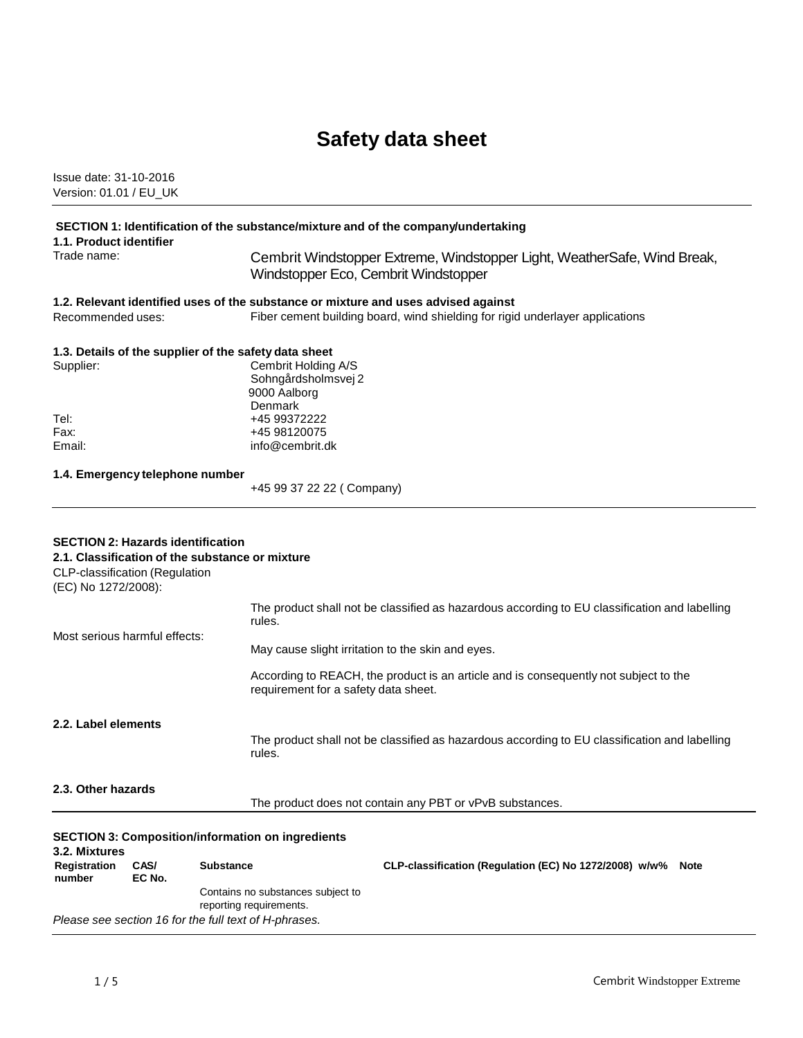# **Safety data sheet**

Issue date: 31-10-2016 Version: 01.01 / EU\_UK

### **SECTION 1: Identification of the substance/mixture and of the company/undertaking**

**1.1. Product identifier**

Trade name: Cembrit Windstopper Extreme, Windstopper Light, WeatherSafe, Wind Break, Windstopper Eco, Cembrit Windstopper

## **1.2. Relevant identified uses of the substance or mixture and uses advised against**

Recommended uses: Fiber cement building board, wind shielding for rigid underlayer applications

### **1.3. Details of the supplier of the safety data sheet**

| Supplier: | Cembrit Holding A/S |
|-----------|---------------------|
|           | Sohngårdsholmsvej 2 |
|           | 9000 Aalborg        |
|           | Denmark             |
| Tel:      | +45 99372222        |
| Fax:      | +45 98120075        |
| Email:    | info@cembrit.dk     |
|           |                     |

## **1.4. Emergency telephone number**

+45 99 37 22 22 ( Company)

#### **SECTION 2: Hazards identification 2.1. Classification of the substance or mixture**

| 3.2. Mixtures<br>Registration<br>number               | CAS/<br>EC No. | <b>SECTION 3: Composition/information on ingredients</b><br><b>Substance</b>                  | CLP-classification (Regulation (EC) No 1272/2008) w/w%<br><b>Note</b>                                                        |
|-------------------------------------------------------|----------------|-----------------------------------------------------------------------------------------------|------------------------------------------------------------------------------------------------------------------------------|
| 2.3. Other hazards                                    |                |                                                                                               | The product does not contain any PBT or vPvB substances.                                                                     |
| 2.2. Label elements                                   |                | rules.                                                                                        | The product shall not be classified as hazardous according to EU classification and labelling                                |
|                                                       |                |                                                                                               | According to REACH, the product is an article and is consequently not subject to the<br>requirement for a safety data sheet. |
| Most serious harmful effects:                         |                | rules.                                                                                        | May cause slight irritation to the skin and eyes.                                                                            |
|                                                       |                | The product shall not be classified as hazardous according to EU classification and labelling |                                                                                                                              |
| CLP-classification (Regulation<br>(EC) No 1272/2008): |                | 2. L. Giassilication of the substance of infatule                                             |                                                                                                                              |

Contains no substances subject to

reporting requirements.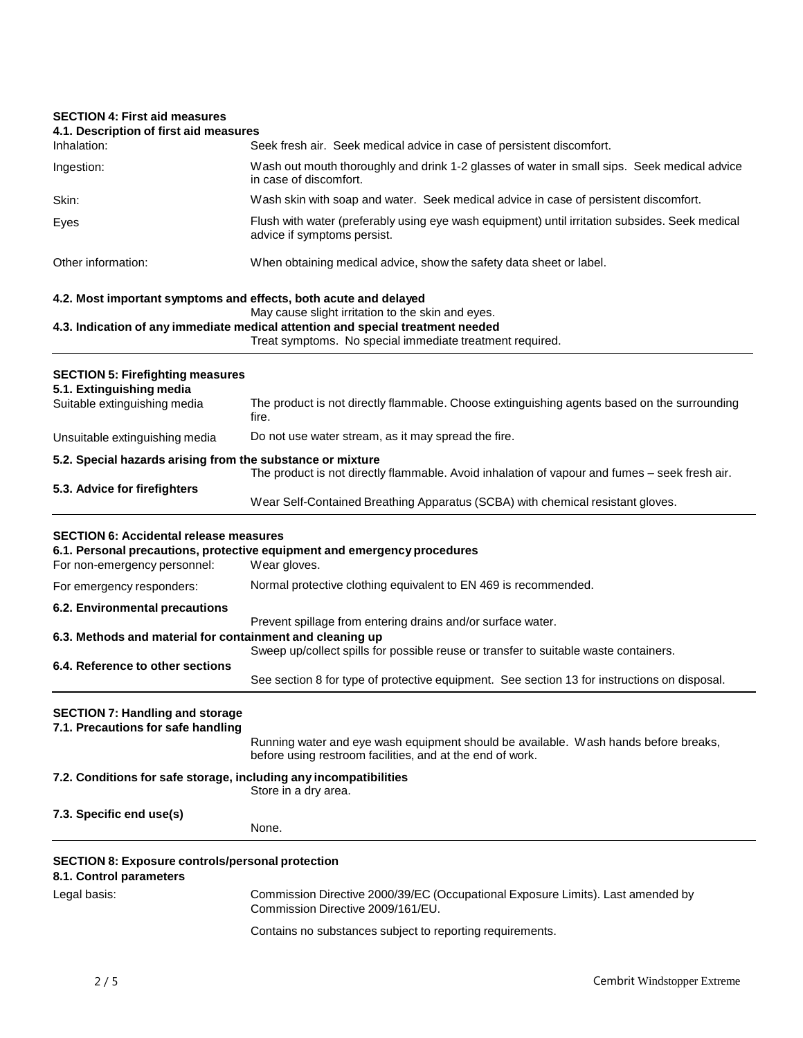## **SECTION 4: First aid measures**

| JEUTIUN 4. FIISL dIU IIIEdSUIES<br>4.1. Description of first aid measures          |                                                                                                                                                                                                  |
|------------------------------------------------------------------------------------|--------------------------------------------------------------------------------------------------------------------------------------------------------------------------------------------------|
| Inhalation:                                                                        | Seek fresh air. Seek medical advice in case of persistent discomfort.                                                                                                                            |
| Ingestion:                                                                         | Wash out mouth thoroughly and drink 1-2 glasses of water in small sips. Seek medical advice<br>in case of discomfort.                                                                            |
| Skin:                                                                              | Wash skin with soap and water. Seek medical advice in case of persistent discomfort.                                                                                                             |
| Eyes                                                                               | Flush with water (preferably using eye wash equipment) until irritation subsides. Seek medical<br>advice if symptoms persist.                                                                    |
| Other information:                                                                 | When obtaining medical advice, show the safety data sheet or label.                                                                                                                              |
| 4.2. Most important symptoms and effects, both acute and delayed                   |                                                                                                                                                                                                  |
|                                                                                    | May cause slight irritation to the skin and eyes.<br>4.3. Indication of any immediate medical attention and special treatment needed<br>Treat symptoms. No special immediate treatment required. |
| <b>SECTION 5: Firefighting measures</b><br>5.1. Extinguishing media                |                                                                                                                                                                                                  |
| Suitable extinguishing media                                                       | The product is not directly flammable. Choose extinguishing agents based on the surrounding<br>fire.                                                                                             |
| Unsuitable extinguishing media                                                     | Do not use water stream, as it may spread the fire.                                                                                                                                              |
| 5.2. Special hazards arising from the substance or mixture                         |                                                                                                                                                                                                  |
| 5.3. Advice for firefighters                                                       | The product is not directly flammable. Avoid inhalation of vapour and fumes - seek fresh air.                                                                                                    |
|                                                                                    | Wear Self-Contained Breathing Apparatus (SCBA) with chemical resistant gloves.                                                                                                                   |
| <b>SECTION 6: Accidental release measures</b>                                      |                                                                                                                                                                                                  |
| For non-emergency personnel:                                                       | 6.1. Personal precautions, protective equipment and emergency procedures<br>Wear gloves.                                                                                                         |
| For emergency responders:                                                          | Normal protective clothing equivalent to EN 469 is recommended.                                                                                                                                  |
| 6.2. Environmental precautions                                                     |                                                                                                                                                                                                  |
| 6.3. Methods and material for containment and cleaning up                          | Prevent spillage from entering drains and/or surface water.                                                                                                                                      |
|                                                                                    | Sweep up/collect spills for possible reuse or transfer to suitable waste containers.                                                                                                             |
| 6.4. Reference to other sections                                                   | See section 8 for type of protective equipment. See section 13 for instructions on disposal.                                                                                                     |
| <b>SECTION 7: Handling and storage</b><br>7.1. Precautions for safe handling       |                                                                                                                                                                                                  |
|                                                                                    | Running water and eye wash equipment should be available. Wash hands before breaks,<br>before using restroom facilities, and at the end of work.                                                 |
| 7.2. Conditions for safe storage, including any incompatibilities                  | Store in a dry area.                                                                                                                                                                             |
| 7.3. Specific end use(s)                                                           |                                                                                                                                                                                                  |
|                                                                                    | None.                                                                                                                                                                                            |
| <b>SECTION 8: Exposure controls/personal protection</b><br>8.1. Control parameters |                                                                                                                                                                                                  |
| Legal basis:                                                                       | Commission Directive 2000/39/EC (Occupational Exposure Limits). Last amended by<br>Commission Directive 2009/161/EU.                                                                             |
|                                                                                    | Contains no substances subject to reporting requirements.                                                                                                                                        |
|                                                                                    |                                                                                                                                                                                                  |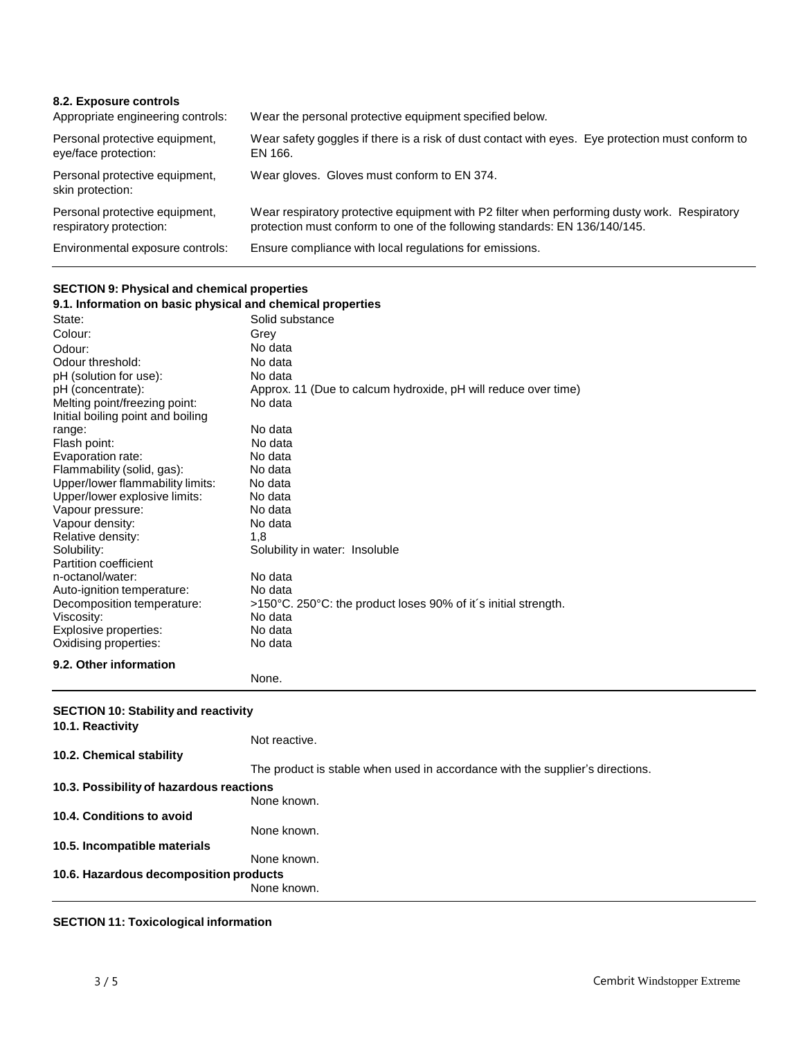| 8.2. Exposure controls<br>Appropriate engineering controls: | Wear the personal protective equipment specified below.                                                                                                                    |
|-------------------------------------------------------------|----------------------------------------------------------------------------------------------------------------------------------------------------------------------------|
| Personal protective equipment,<br>eye/face protection:      | Wear safety goggles if there is a risk of dust contact with eyes. Eye protection must conform to<br>EN 166.                                                                |
| Personal protective equipment,<br>skin protection:          | Wear gloves. Gloves must conform to EN 374.                                                                                                                                |
| Personal protective equipment,<br>respiratory protection:   | Wear respiratory protective equipment with P2 filter when performing dusty work. Respiratory<br>protection must conform to one of the following standards: EN 136/140/145. |
| Environmental exposure controls:                            | Ensure compliance with local regulations for emissions.                                                                                                                    |

## **SECTION 9: Physical and chemical properties**

| 9.1. Information on basic physical and chemical properties |                                                                |  |
|------------------------------------------------------------|----------------------------------------------------------------|--|
| State:                                                     | Solid substance                                                |  |
| Colour:                                                    | Grey                                                           |  |
| Odour:                                                     | No data                                                        |  |
| Odour threshold:                                           | No data                                                        |  |
| pH (solution for use):                                     | No data                                                        |  |
| pH (concentrate):                                          | Approx. 11 (Due to calcum hydroxide, pH will reduce over time) |  |
| Melting point/freezing point:                              | No data                                                        |  |
| Initial boiling point and boiling                          |                                                                |  |
| range:                                                     | No data                                                        |  |
| Flash point:                                               | No data                                                        |  |
| Evaporation rate:                                          | No data                                                        |  |
| Flammability (solid, gas):                                 | No data                                                        |  |
| Upper/lower flammability limits:                           | No data                                                        |  |
| Upper/lower explosive limits:                              | No data                                                        |  |
| Vapour pressure:                                           | No data                                                        |  |
| Vapour density:                                            | No data                                                        |  |
| Relative density:                                          | 1.8                                                            |  |
| Solubility:                                                | Solubility in water: Insoluble                                 |  |
| Partition coefficient                                      |                                                                |  |
| n-octanol/water:                                           | No data                                                        |  |
| Auto-ignition temperature:                                 | No data                                                        |  |
| Decomposition temperature:                                 | >150°C. 250°C: the product loses 90% of it's initial strength. |  |
| Viscosity:                                                 | No data                                                        |  |
| Explosive properties:                                      | No data                                                        |  |
| Oxidising properties:                                      | No data                                                        |  |
| 9.2. Other information                                     |                                                                |  |
|                                                            | None.                                                          |  |
| <b>SECTION 10: Stability and reactivity</b>                |                                                                |  |
| 10.1. Reactivity                                           |                                                                |  |
|                                                            |                                                                |  |

| 10.1. Reactivity                         |                                                                               |
|------------------------------------------|-------------------------------------------------------------------------------|
|                                          | Not reactive.                                                                 |
| 10.2. Chemical stability                 |                                                                               |
|                                          | The product is stable when used in accordance with the supplier's directions. |
| 10.3. Possibility of hazardous reactions |                                                                               |
|                                          | None known.                                                                   |
| 10.4. Conditions to avoid                |                                                                               |
|                                          | None known.                                                                   |
| 10.5. Incompatible materials             |                                                                               |
|                                          | None known.                                                                   |
| 10.6. Hazardous decomposition products   |                                                                               |
|                                          | None known.                                                                   |

## **SECTION 11: Toxicological information**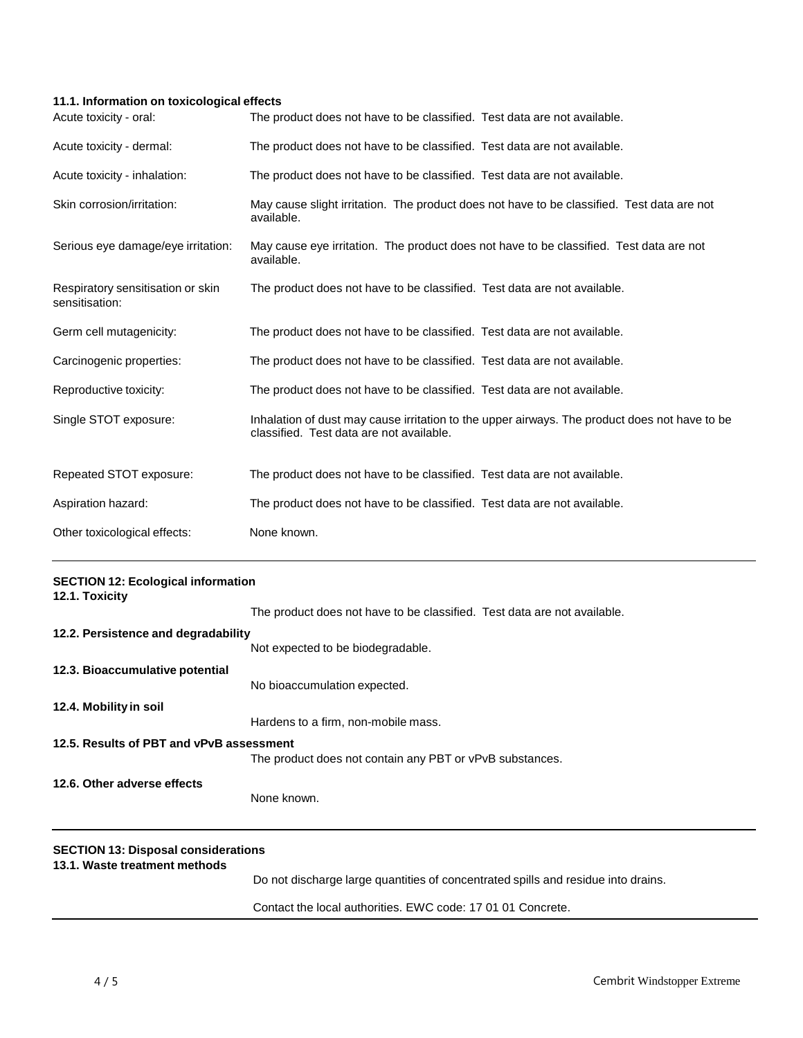## **11.1. Information on toxicological effects**

| Acute toxicity - oral:                              | The product does not have to be classified. Test data are not available.                                                                  |
|-----------------------------------------------------|-------------------------------------------------------------------------------------------------------------------------------------------|
| Acute toxicity - dermal:                            | The product does not have to be classified. Test data are not available.                                                                  |
| Acute toxicity - inhalation:                        | The product does not have to be classified. Test data are not available.                                                                  |
| Skin corrosion/irritation:                          | May cause slight irritation. The product does not have to be classified. Test data are not<br>available.                                  |
| Serious eye damage/eye irritation:                  | May cause eye irritation. The product does not have to be classified. Test data are not<br>available.                                     |
| Respiratory sensitisation or skin<br>sensitisation: | The product does not have to be classified. Test data are not available.                                                                  |
| Germ cell mutagenicity:                             | The product does not have to be classified. Test data are not available.                                                                  |
| Carcinogenic properties:                            | The product does not have to be classified. Test data are not available.                                                                  |
| Reproductive toxicity:                              | The product does not have to be classified. Test data are not available.                                                                  |
| Single STOT exposure:                               | Inhalation of dust may cause irritation to the upper airways. The product does not have to be<br>classified. Test data are not available. |
| Repeated STOT exposure:                             | The product does not have to be classified. Test data are not available.                                                                  |
| Aspiration hazard:                                  | The product does not have to be classified. Test data are not available.                                                                  |
| Other toxicological effects:                        | None known.                                                                                                                               |

| <b>SECTION 12: Ecological information</b><br>12.1. Toxicity                 |                                                                                   |
|-----------------------------------------------------------------------------|-----------------------------------------------------------------------------------|
|                                                                             | The product does not have to be classified. Test data are not available.          |
| 12.2. Persistence and degradability                                         |                                                                                   |
|                                                                             | Not expected to be biodegradable.                                                 |
| 12.3. Bioaccumulative potential                                             |                                                                                   |
|                                                                             | No bioaccumulation expected.                                                      |
| 12.4. Mobility in soil                                                      |                                                                                   |
|                                                                             | Hardens to a firm, non-mobile mass.                                               |
| 12.5. Results of PBT and vPvB assessment                                    |                                                                                   |
|                                                                             | The product does not contain any PBT or vPvB substances.                          |
| 12.6. Other adverse effects                                                 |                                                                                   |
|                                                                             | None known.                                                                       |
| <b>SECTION 13: Disposal considerations</b><br>13.1. Waste treatment methods |                                                                                   |
|                                                                             | Do not discharge large quantities of concentrated spills and residue into drains. |
|                                                                             |                                                                                   |

Contact the local authorities. EWC code: 17 01 01 Concrete.